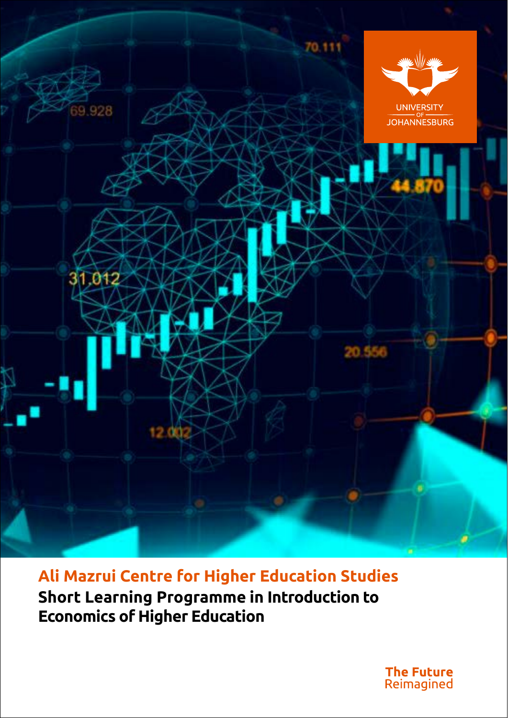

**Ali Mazrui Centre for Higher Education Studies Short Learning Programme in Introduction to Economics of Higher Education**

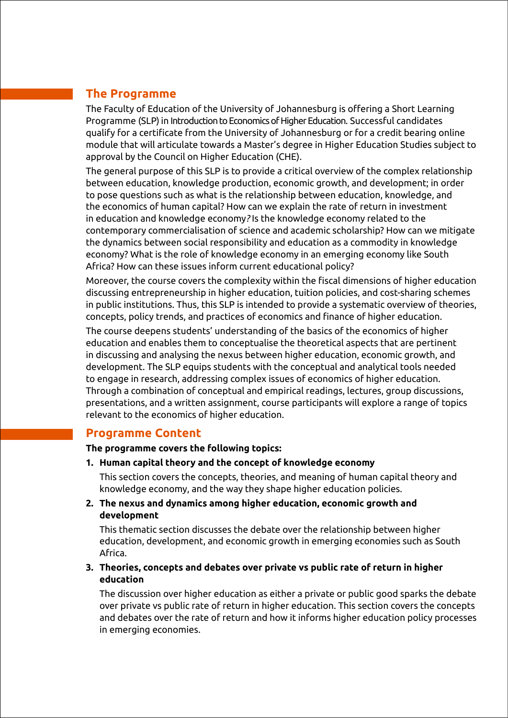# **The Programme**

The Faculty of Education of the University of Johannesburg is offering a Short Learning Programme (SLP) in Introduction to Economics of Higher Education. Successful candidates qualify for a certificate from the University of Johannesburg or for a credit bearing online module that will articulate towards a Master's degree in Higher Education Studies subject to approval by the Council on Higher Education (CHE).

The general purpose of this SLP is to provide a critical overview of the complex relationship between education, knowledge production, economic growth, and development; in order to pose questions such as what is the relationship between education, knowledge, and the economics of human capital? How can we explain the rate of return in investment in education and knowledge economy*?* Is the knowledge economy related to the contemporary commercialisation of science and academic scholarship? How can we mitigate the dynamics between social responsibility and education as a commodity in knowledge economy? What is the role of knowledge economy in an emerging economy like South Africa? How can these issues inform current educational policy?

Moreover, the course covers the complexity within the fiscal dimensions of higher education discussing entrepreneurship in higher education, tuition policies, and cost-sharing schemes in public institutions. Thus, this SLP is intended to provide a systematic overview of theories, concepts, policy trends, and practices of economics and finance of higher education.

The course deepens students' understanding of the basics of the economics of higher education and enables them to conceptualise the theoretical aspects that are pertinent in discussing and analysing the nexus between higher education, economic growth, and development. The SLP equips students with the conceptual and analytical tools needed to engage in research, addressing complex issues of economics of higher education. Through a combination of conceptual and empirical readings, lectures, group discussions, presentations, and a written assignment, course participants will explore a range of topics relevant to the economics of higher education.

### **Programme Content**

**The programme covers the following topics:**

**1. Human capital theory and the concept of knowledge economy** 

This section covers the concepts, theories, and meaning of human capital theory and knowledge economy, and the way they shape higher education policies.

**2. The nexus and dynamics among higher education, economic growth and development**

This thematic section discusses the debate over the relationship between higher education, development, and economic growth in emerging economies such as South Africa.

**3. Theories, concepts and debates over private vs public rate of return in higher education**

The discussion over higher education as either a private or public good sparks the debate over private vs public rate of return in higher education. This section covers the concepts and debates over the rate of return and how it informs higher education policy processes in emerging economies.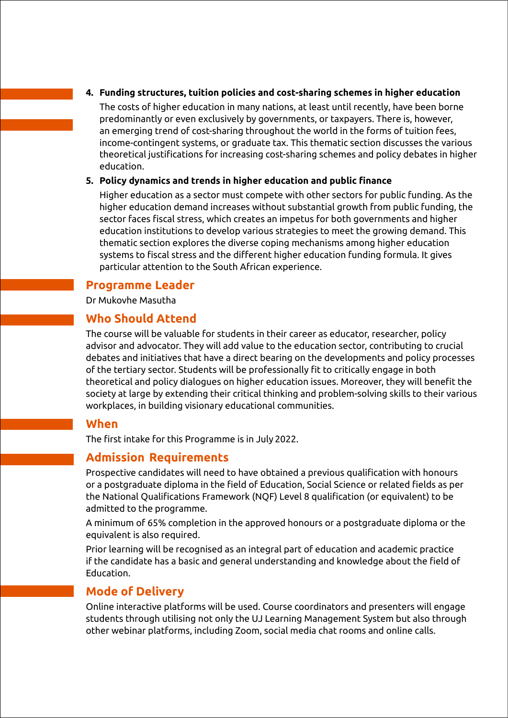#### **4. Funding structures, tuition policies and cost-sharing schemes in higher education**

The costs of higher education in many nations, at least until recently, have been borne predominantly or even exclusively by governments, or taxpayers. There is, however, an emerging trend of cost-sharing throughout the world in the forms of tuition fees, income-contingent systems, or graduate tax. This thematic section discusses the various theoretical justifications for increasing cost-sharing schemes and policy debates in higher education.

#### **5. Policy dynamics and trends in higher education and public finance**

Higher education as a sector must compete with other sectors for public funding. As the higher education demand increases without substantial growth from public funding, the sector faces fiscal stress, which creates an impetus for both governments and higher education institutions to develop various strategies to meet the growing demand. This thematic section explores the diverse coping mechanisms among higher education systems to fiscal stress and the different higher education funding formula. It gives particular attention to the South African experience.

### **Programme Leader**

Dr Mukovhe Masutha

## **Who Should Attend**

The course will be valuable for students in their career as educator, researcher, policy advisor and advocator. They will add value to the education sector, contributing to crucial debates and initiatives that have a direct bearing on the developments and policy processes of the tertiary sector. Students will be professionally fit to critically engage in both theoretical and policy dialogues on higher education issues. Moreover, they will benefit the society at large by extending their critical thinking and problem-solving skills to their various workplaces, in building visionary educational communities.

### **When**

The first intake for this Programme is in July 2022.

# **Admission Requirements**

Prospective candidates will need to have obtained a previous qualification with honours or a postgraduate diploma in the field of Education, Social Science or related fields as per the National Qualifications Framework (NQF) Level 8 qualification (or equivalent) to be admitted to the programme.

A minimum of 65% completion in the approved honours or a postgraduate diploma or the equivalent is also required.

Prior learning will be recognised as an integral part of education and academic practice if the candidate has a basic and general understanding and knowledge about the field of Education.

# **Mode of Delivery**

Online interactive platforms will be used. Course coordinators and presenters will engage students through utilising not only the UJ Learning Management System but also through other webinar platforms, including Zoom, social media chat rooms and online calls.